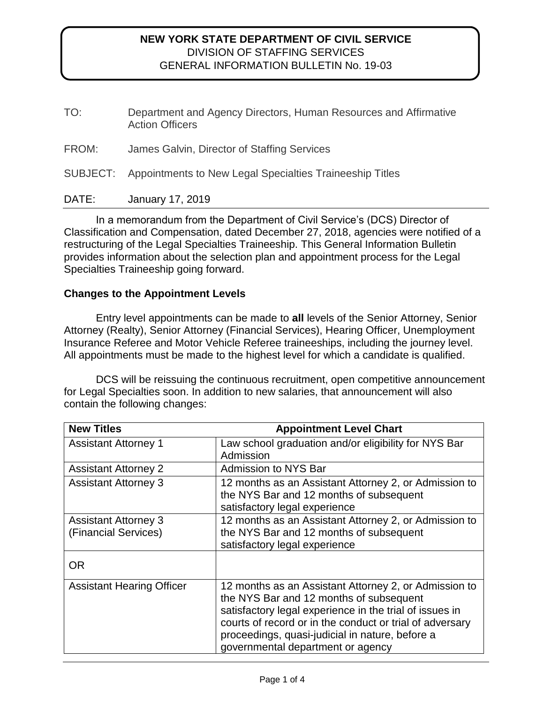| Department and Agency Directors, Human Resources and Affirmative<br><b>Action Officers</b> |
|--------------------------------------------------------------------------------------------|
| James Galvin, Director of Staffing Services                                                |
| SUBJECT: Appointments to New Legal Specialties Traineeship Titles                          |
|                                                                                            |

DATE: January 17, 2019

In a memorandum from the Department of Civil Service's (DCS) Director of Classification and Compensation, dated December 27, 2018, agencies were notified of a restructuring of the Legal Specialties Traineeship. This General Information Bulletin provides information about the selection plan and appointment process for the Legal Specialties Traineeship going forward.

## **Changes to the Appointment Levels**

Entry level appointments can be made to **all** levels of the Senior Attorney, Senior Attorney (Realty), Senior Attorney (Financial Services), Hearing Officer, Unemployment Insurance Referee and Motor Vehicle Referee traineeships, including the journey level. All appointments must be made to the highest level for which a candidate is qualified.

DCS will be reissuing the continuous recruitment, open competitive announcement for Legal Specialties soon. In addition to new salaries, that announcement will also contain the following changes:

| <b>New Titles</b>                                   | <b>Appointment Level Chart</b>                                                                                                                                                                                                                                                                                  |
|-----------------------------------------------------|-----------------------------------------------------------------------------------------------------------------------------------------------------------------------------------------------------------------------------------------------------------------------------------------------------------------|
| <b>Assistant Attorney 1</b>                         | Law school graduation and/or eligibility for NYS Bar<br>Admission                                                                                                                                                                                                                                               |
| <b>Assistant Attorney 2</b>                         | Admission to NYS Bar                                                                                                                                                                                                                                                                                            |
| <b>Assistant Attorney 3</b>                         | 12 months as an Assistant Attorney 2, or Admission to<br>the NYS Bar and 12 months of subsequent<br>satisfactory legal experience                                                                                                                                                                               |
| <b>Assistant Attorney 3</b><br>(Financial Services) | 12 months as an Assistant Attorney 2, or Admission to<br>the NYS Bar and 12 months of subsequent<br>satisfactory legal experience                                                                                                                                                                               |
| <b>OR</b>                                           |                                                                                                                                                                                                                                                                                                                 |
| <b>Assistant Hearing Officer</b>                    | 12 months as an Assistant Attorney 2, or Admission to<br>the NYS Bar and 12 months of subsequent<br>satisfactory legal experience in the trial of issues in<br>courts of record or in the conduct or trial of adversary<br>proceedings, quasi-judicial in nature, before a<br>governmental department or agency |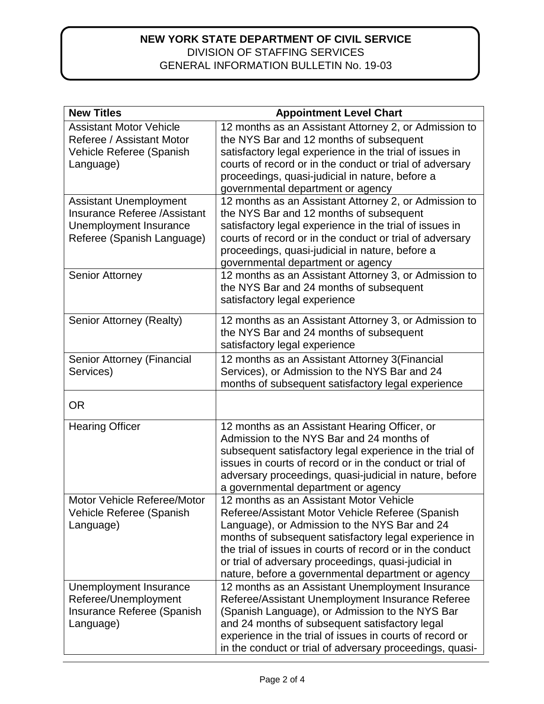| <b>New Titles</b>                                                                                                            | <b>Appointment Level Chart</b>                                                                                                                                                                                                                                                                                                                                                   |
|------------------------------------------------------------------------------------------------------------------------------|----------------------------------------------------------------------------------------------------------------------------------------------------------------------------------------------------------------------------------------------------------------------------------------------------------------------------------------------------------------------------------|
| <b>Assistant Motor Vehicle</b><br>Referee / Assistant Motor<br>Vehicle Referee (Spanish<br>Language)                         | 12 months as an Assistant Attorney 2, or Admission to<br>the NYS Bar and 12 months of subsequent<br>satisfactory legal experience in the trial of issues in<br>courts of record or in the conduct or trial of adversary<br>proceedings, quasi-judicial in nature, before a<br>governmental department or agency                                                                  |
| <b>Assistant Unemployment</b><br><b>Insurance Referee /Assistant</b><br>Unemployment Insurance<br>Referee (Spanish Language) | 12 months as an Assistant Attorney 2, or Admission to<br>the NYS Bar and 12 months of subsequent<br>satisfactory legal experience in the trial of issues in<br>courts of record or in the conduct or trial of adversary<br>proceedings, quasi-judicial in nature, before a<br>governmental department or agency                                                                  |
| <b>Senior Attorney</b>                                                                                                       | 12 months as an Assistant Attorney 3, or Admission to<br>the NYS Bar and 24 months of subsequent<br>satisfactory legal experience                                                                                                                                                                                                                                                |
| Senior Attorney (Realty)                                                                                                     | 12 months as an Assistant Attorney 3, or Admission to<br>the NYS Bar and 24 months of subsequent<br>satisfactory legal experience                                                                                                                                                                                                                                                |
| Senior Attorney (Financial<br>Services)                                                                                      | 12 months as an Assistant Attorney 3(Financial<br>Services), or Admission to the NYS Bar and 24<br>months of subsequent satisfactory legal experience                                                                                                                                                                                                                            |
| <b>OR</b>                                                                                                                    |                                                                                                                                                                                                                                                                                                                                                                                  |
| <b>Hearing Officer</b>                                                                                                       | 12 months as an Assistant Hearing Officer, or<br>Admission to the NYS Bar and 24 months of<br>subsequent satisfactory legal experience in the trial of<br>issues in courts of record or in the conduct or trial of<br>adversary proceedings, quasi-judicial in nature, before<br>a governmental department or agency                                                             |
| Motor Vehicle Referee/Motor<br>Vehicle Referee (Spanish<br>Language)                                                         | 12 months as an Assistant Motor Vehicle<br>Referee/Assistant Motor Vehicle Referee (Spanish<br>Language), or Admission to the NYS Bar and 24<br>months of subsequent satisfactory legal experience in<br>the trial of issues in courts of record or in the conduct<br>or trial of adversary proceedings, quasi-judicial in<br>nature, before a governmental department or agency |
| Unemployment Insurance<br>Referee/Unemployment<br>Insurance Referee (Spanish<br>Language)                                    | 12 months as an Assistant Unemployment Insurance<br>Referee/Assistant Unemployment Insurance Referee<br>(Spanish Language), or Admission to the NYS Bar<br>and 24 months of subsequent satisfactory legal<br>experience in the trial of issues in courts of record or<br>in the conduct or trial of adversary proceedings, quasi-                                                |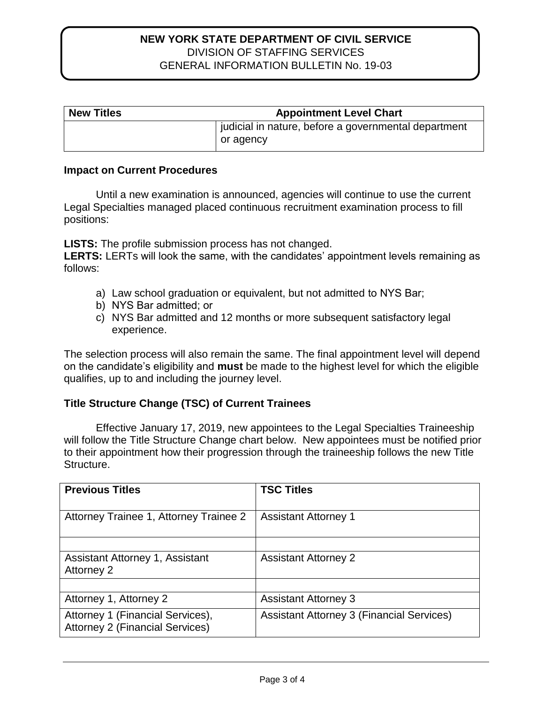| <b>New Titles</b> | <b>Appointment Level Chart</b>                                    |
|-------------------|-------------------------------------------------------------------|
|                   | judicial in nature, before a governmental department<br>or agency |

#### **Impact on Current Procedures**

Until a new examination is announced, agencies will continue to use the current Legal Specialties managed placed continuous recruitment examination process to fill positions:

**LISTS:** The profile submission process has not changed.

**LERTS:** LERTs will look the same, with the candidates' appointment levels remaining as follows:

- a) Law school graduation or equivalent, but not admitted to NYS Bar;
- b) NYS Bar admitted; or
- c) NYS Bar admitted and 12 months or more subsequent satisfactory legal experience.

The selection process will also remain the same. The final appointment level will depend on the candidate's eligibility and **must** be made to the highest level for which the eligible qualifies, up to and including the journey level.

# **Title Structure Change (TSC) of Current Trainees**

Effective January 17, 2019, new appointees to the Legal Specialties Traineeship will follow the Title Structure Change chart below. New appointees must be notified prior to their appointment how their progression through the traineeship follows the new Title Structure.

| <b>Previous Titles</b>                                                     | <b>TSC Titles</b>                                |
|----------------------------------------------------------------------------|--------------------------------------------------|
| Attorney Trainee 1, Attorney Trainee 2                                     | <b>Assistant Attorney 1</b>                      |
| Assistant Attorney 1, Assistant<br>Attorney 2                              | <b>Assistant Attorney 2</b>                      |
| Attorney 1, Attorney 2                                                     | <b>Assistant Attorney 3</b>                      |
| Attorney 1 (Financial Services),<br><b>Attorney 2 (Financial Services)</b> | <b>Assistant Attorney 3 (Financial Services)</b> |